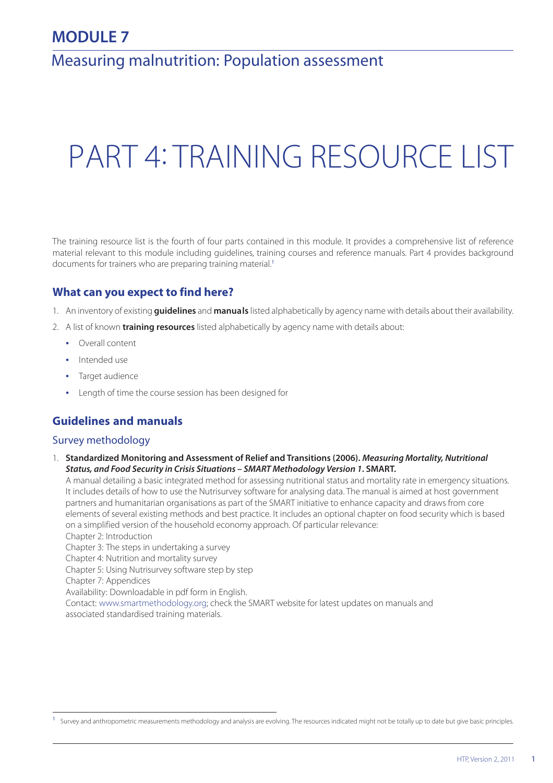# **MODULE 7**

# Measuring malnutrition: Population assessment

# PART 4: TRAINING RESOURCE LIST

The training resource list is the fourth of four parts contained in this module. It provides a comprehensive list of reference material relevant to this module including guidelines, training courses and reference manuals. Part 4 provides background documents for trainers who are preparing training material.<sup>1</sup>

# **What can you expect to find here?**

- 1. An inventory of existing **guidelines** and **manuals** listed alphabetically by agency name with details about their availability.
- 2. A list of known **training resources** listed alphabetically by agency name with details about:
	- **•** Overall content
	- **•** Intended use
	- **•** Target audience
	- **•** Length of time the course session has been designed for

# **Guidelines and manuals**

#### Survey methodology

1. **Standardized Monitoring and Assessment of Relief and Transitions (2006).** *Measuring Mortality, Nutritional Status, and Food Security in Crisis Situations – SMART Methodology Version 1***. SMART.**

A manual detailing a basic integrated method for assessing nutritional status and mortality rate in emergency situations. It includes details of how to use the Nutrisurvey software for analysing data. The manual is aimed at host government partners and humanitarian organisations as part of the SMART initiative to enhance capacity and draws from core elements of several existing methods and best practice. It includes an optional chapter on food security which is based on a simplified version of the household economy approach. Of particular relevance:

Chapter 2: Introduction

Chapter 3: The steps in undertaking a survey

Chapter 4: Nutrition and mortality survey

Chapter 5: Using Nutrisurvey software step by step

Chapter 7: Appendices

Availability: Downloadable in pdf form in English.

Contact: www.smartmethodology.org; check the SMART website for latest updates on manuals and associated standardised training materials.

<sup>&</sup>lt;sup>1</sup> Survey and anthropometric measurements methodology and analysis are evolving. The resources indicated might not be totally up to date but give basic principles.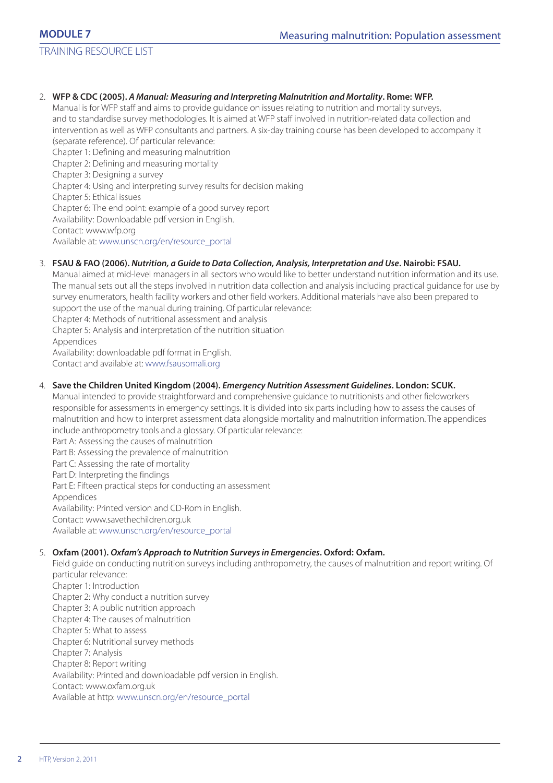TRAINING RESOURCE LIST

#### 2. **WFP & CDC (2005).** *A Manual: Measuring and Interpreting Malnutrition and Mortality***. Rome: WFP.**

Manual is for WFP staff and aims to provide guidance on issues relating to nutrition and mortality surveys, and to standardise survey methodologies. It is aimed at WFP staff involved in nutrition-related data collection and intervention as well as WFP consultants and partners. A six-day training course has been developed to accompany it (separate reference). Of particular relevance:

Chapter 1: Defining and measuring malnutrition Chapter 2: Defining and measuring mortality Chapter 3: Designing a survey Chapter 4: Using and interpreting survey results for decision making

Chapter 5: Ethical issues

Chapter 6: The end point: example of a good survey report

Availability: Downloadable pdf version in English.

Contact: www.wfp.org

Available at: www.unscn.org/en/resource\_portal

#### 3. **FSAU & FAO (2006).** *Nutrition, a Guide to Data Collection, Analysis, Interpretation and Use***. Nairobi: FSAU.**

Manual aimed at mid-level managers in all sectors who would like to better understand nutrition information and its use. The manual sets out all the steps involved in nutrition data collection and analysis including practical guidance for use by survey enumerators, health facility workers and other field workers. Additional materials have also been prepared to support the use of the manual during training. Of particular relevance:

Chapter 4: Methods of nutritional assessment and analysis

Chapter 5: Analysis and interpretation of the nutrition situation

Appendices

Availability: downloadable pdf format in English.

Contact and available at: www.fsausomali.org

#### 4. **Save the Children United Kingdom (2004).** *Emergency Nutrition Assessment Guidelines***. London: SCUK.**

Manual intended to provide straightforward and comprehensive guidance to nutritionists and other fieldworkers responsible for assessments in emergency settings. It is divided into six parts including how to assess the causes of malnutrition and how to interpret assessment data alongside mortality and malnutrition information. The appendices include anthropometry tools and a glossary. Of particular relevance:

Part A: Assessing the causes of malnutrition Part B: Assessing the prevalence of malnutrition Part C: Assessing the rate of mortality Part D: Interpreting the findings Part E: Fifteen practical steps for conducting an assessment

Appendices

Availability: Printed version and CD-Rom in English.

Contact: www.savethechildren.org.uk

Available at: www.unscn.org/en/resource\_portal

#### 5. **Oxfam (2001).** *Oxfam's Approach to Nutrition Surveys in Emergencies***. Oxford: Oxfam.**

Field guide on conducting nutrition surveys including anthropometry, the causes of malnutrition and report writing. Of particular relevance:

Chapter 1: Introduction Chapter 2: Why conduct a nutrition survey Chapter 3: A public nutrition approach Chapter 4: The causes of malnutrition Chapter 5: What to assess Chapter 6: Nutritional survey methods Chapter 7: Analysis Chapter 8: Report writing Availability: Printed and downloadable pdf version in English. Contact: www.oxfam.org.uk Available at http: www.unscn.org/en/resource\_portal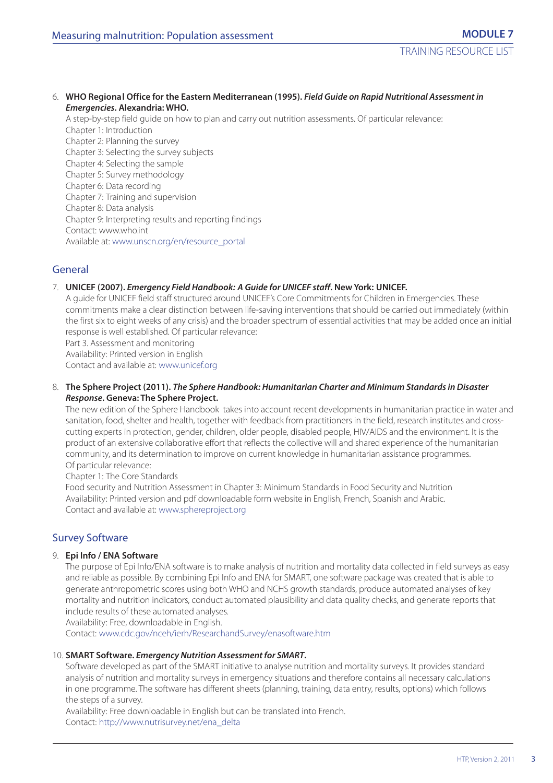#### 6. **WHO Regional Office for the Eastern Mediterranean (1995).** *Field Guide on Rapid Nutritional Assessment in Emergencies***. Alexandria: WHO.**

A step-by-step field guide on how to plan and carry out nutrition assessments. Of particular relevance: Chapter 1: Introduction Chapter 2: Planning the survey Chapter 3: Selecting the survey subjects Chapter 4: Selecting the sample Chapter 5: Survey methodology Chapter 6: Data recording Chapter 7: Training and supervision Chapter 8: Data analysis Chapter 9: Interpreting results and reporting findings Contact: www.who.int Available at: www.unscn.org/en/resource\_portal

# General

#### 7. **UNICEF (2007).** *Emergency Field Handbook: A Guide for UNICEF staff***. New York: UNICEF.**

A guide for UNICEF field staff structured around UNICEF's Core Commitments for Children in Emergencies. These commitments make a clear distinction between life-saving interventions that should be carried out immediately (within the first six to eight weeks of any crisis) and the broader spectrum of essential activities that may be added once an initial response is well established. Of particular relevance:

Part 3. Assessment and monitoring

Availability: Printed version in English

Contact and available at: www.unicef.org

#### 8. **The Sphere Project (2011).** *The Sphere Handbook: Humanitarian Charter and Minimum Standards in Disaster Response***. Geneva: The Sphere Project.**

The new edition of the Sphere Handbook takes into account recent developments in humanitarian practice in water and sanitation, food, shelter and health, together with feedback from practitioners in the field, research institutes and crosscutting experts in protection, gender, children, older people, disabled people, HIV/AIDS and the environment. It is the product of an extensive collaborative effort that reflects the collective will and shared experience of the humanitarian community, and its determination to improve on current knowledge in humanitarian assistance programmes. Of particular relevance:

Chapter 1: The Core Standards

Food security and Nutrition Assessment in Chapter 3: Minimum Standards in Food Security and Nutrition Availability: Printed version and pdf downloadable form website in English, French, Spanish and Arabic. Contact and available at: www.sphereproject.org

## Survey Software

#### 9. **Epi Info / ENA Software**

The purpose of Epi Info/ENA software is to make analysis of nutrition and mortality data collected in field surveys as easy and reliable as possible. By combining Epi Info and ENA for SMART, one software package was created that is able to generate anthropometric scores using both WHO and NCHS growth standards, produce automated analyses of key mortality and nutrition indicators, conduct automated plausibility and data quality checks, and generate reports that include results of these automated analyses.

Availability: Free, downloadable in English.

Contact: www.cdc.gov/nceh/ierh/ResearchandSurvey/enasoftware.htm

#### 10. **SMART Software.** *Emergency Nutrition Assessment for SMART***.**

Software developed as part of the SMART initiative to analyse nutrition and mortality surveys. It provides standard analysis of nutrition and mortality surveys in emergency situations and therefore contains all necessary calculations in one programme. The software has different sheets (planning, training, data entry, results, options) which follows the steps of a survey.

Availability: Free downloadable in English but can be translated into French. Contact: http://www.nutrisurvey.net/ena\_delta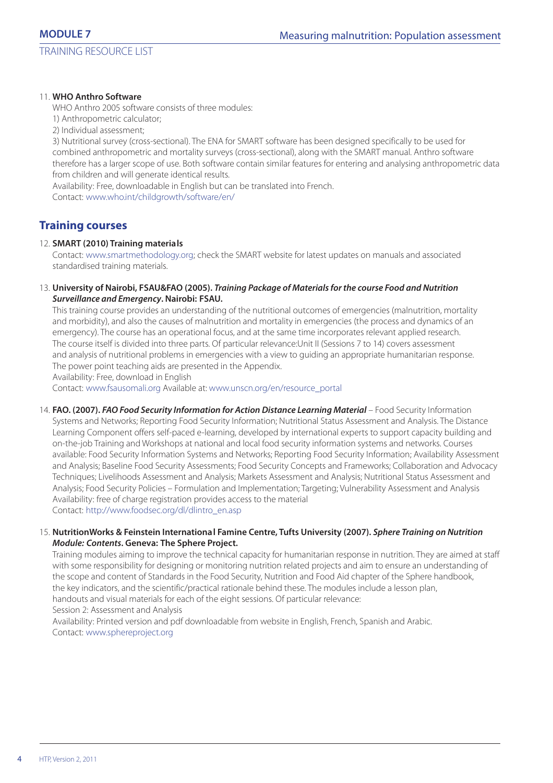TRAINING RESOURCE LIST

#### 11. **WHO Anthro Software**

WHO Anthro 2005 software consists of three modules:

1) Anthropometric calculator;

2) Individual assessment;

3) Nutritional survey (cross-sectional). The ENA for SMART software has been designed specifically to be used for combined anthropometric and mortality surveys (cross-sectional), along with the SMART manual. Anthro software therefore has a larger scope of use. Both software contain similar features for entering and analysing anthropometric data from children and will generate identical results.

Availability: Free, downloadable in English but can be translated into French.

Contact: www.who.int/childgrowth/software/en/

# **Training courses**

#### 12. **SMART (2010) Training materials**

Contact: www.smartmethodology.org; check the SMART website for latest updates on manuals and associated standardised training materials.

#### 13. **University of Nairobi, FSAU&FAO (2005).** *Training Package of Materials for the course Food and Nutrition Surveillance and Emergency***. Nairobi: FSAU.**

This training course provides an understanding of the nutritional outcomes of emergencies (malnutrition, mortality and morbidity), and also the causes of malnutrition and mortality in emergencies (the process and dynamics of an emergency). The course has an operational focus, and at the same time incorporates relevant applied research. The course itself is divided into three parts. Of particular relevance:Unit II (Sessions 7 to 14) covers assessment and analysis of nutritional problems in emergencies with a view to guiding an appropriate humanitarian response. The power point teaching aids are presented in the Appendix.

Availability: Free, download in English

Contact: www.fsausomali.org Available at: www.unscn.org/en/resource\_portal

14. **FAO. (2007).** *FAO Food Security Information for Action Distance Learning Material* – Food Security Information Systems and Networks; Reporting Food Security Information; Nutritional Status Assessment and Analysis. The Distance Learning Component offers self-paced e-learning, developed by international experts to support capacity building and on-the-job Training and Workshops at national and local food security information systems and networks. Courses available: Food Security Information Systems and Networks; Reporting Food Security Information; Availability Assessment and Analysis; Baseline Food Security Assessments; Food Security Concepts and Frameworks; Collaboration and Advocacy Techniques; Livelihoods Assessment and Analysis; Markets Assessment and Analysis; Nutritional Status Assessment and Analysis; Food Security Policies – Formulation and Implementation; Targeting; Vulnerability Assessment and Analysis Availability: free of charge registration provides access to the material Contact: http://www.foodsec.org/dl/dlintro\_en.asp

#### 15. **NutritionWorks & Feinstein International Famine Centre, Tufts University (2007).** *Sphere Training on Nutrition Module: Contents***. Geneva: The Sphere Project.**

Training modules aiming to improve the technical capacity for humanitarian response in nutrition. They are aimed at staff with some responsibility for designing or monitoring nutrition related projects and aim to ensure an understanding of the scope and content of Standards in the Food Security, Nutrition and Food Aid chapter of the Sphere handbook, the key indicators, and the scientific/practical rationale behind these. The modules include a lesson plan, handouts and visual materials for each of the eight sessions. Of particular relevance: Session 2: Assessment and Analysis

Availability: Printed version and pdf downloadable from website in English, French, Spanish and Arabic. Contact: www.sphereproject.org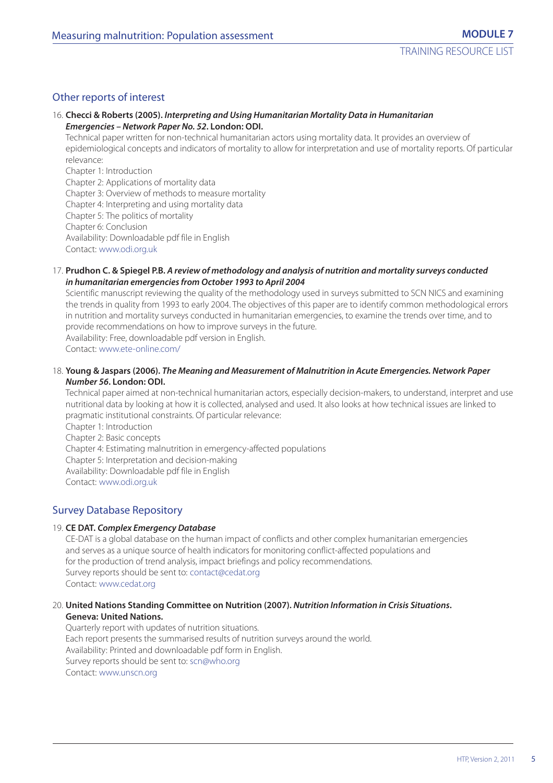## Other reports of interest

#### 16. **Checci & Roberts (2005).** *Interpreting and Using Humanitarian Mortality Data in Humanitarian Emergencies – Network Paper No. 52***. London: ODI.**

Technical paper written for non-technical humanitarian actors using mortality data. It provides an overview of epidemiological concepts and indicators of mortality to allow for interpretation and use of mortality reports. Of particular relevance:

Chapter 1: Introduction Chapter 2: Applications of mortality data Chapter 3: Overview of methods to measure mortality Chapter 4: Interpreting and using mortality data Chapter 5: The politics of mortality Chapter 6: Conclusion Availability: Downloadable pdf file in English Contact: www.odi.org.uk

#### 17. **Prudhon C. & Spiegel P.B.** *A review of methodology and analysis of nutrition and mortality surveys conducted in humanitarian emergencies from October 1993 to April 2004*

Scientific manuscript reviewing the quality of the methodology used in surveys submitted to SCN NICS and examining the trends in quality from 1993 to early 2004. The objectives of this paper are to identify common methodological errors in nutrition and mortality surveys conducted in humanitarian emergencies, to examine the trends over time, and to provide recommendations on how to improve surveys in the future. Availability: Free, downloadable pdf version in English. Contact: www.ete-online.com/

#### 18. **Young & Jaspars (2006).** *The Meaning and Measurement of Malnutrition in Acute Emergencies. Network Paper Number 56***. London: ODI.**

Technical paper aimed at non-technical humanitarian actors, especially decision-makers, to understand, interpret and use nutritional data by looking at how it is collected, analysed and used. It also looks at how technical issues are linked to pragmatic institutional constraints. Of particular relevance:

Chapter 1: Introduction Chapter 2: Basic concepts Chapter 4: Estimating malnutrition in emergency-affected populations Chapter 5: Interpretation and decision-making Availability: Downloadable pdf file in English Contact: www.odi.org.uk

## Survey Database Repository

#### 19. **CE DAT.** *Complex Emergency Database*

CE-DAT is a global database on the human impact of conflicts and other complex humanitarian emergencies and serves as a unique source of health indicators for monitoring conflict-affected populations and for the production of trend analysis, impact briefings and policy recommendations. Survey reports should be sent to: contact@cedat.org Contact: www.cedat.org

#### 20. **United Nations Standing Committee on Nutrition (2007).** *Nutrition Information in Crisis Situations***. Geneva: United Nations.**

Quarterly report with updates of nutrition situations. Each report presents the summarised results of nutrition surveys around the world. Availability: Printed and downloadable pdf form in English. Survey reports should be sent to: scn@who.org Contact: www.unscn.org